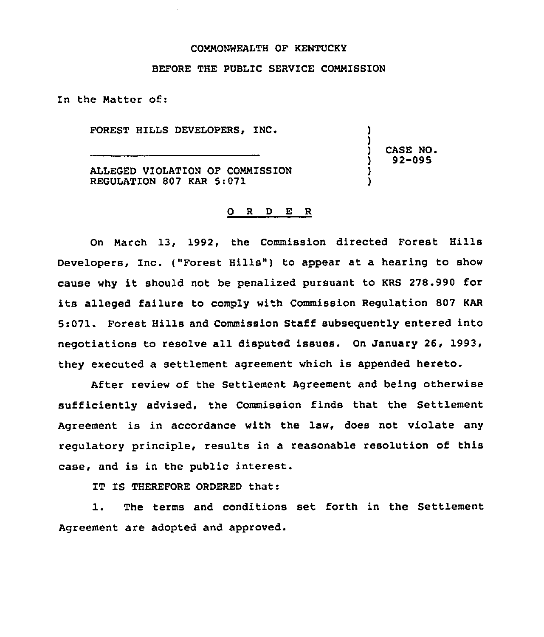### CONNONWEALTH OF KENTUCKY

## BEFORE THE PUBLIC SERVICE COMMISSION

In the Natter of:

FOREST HILLS DEVELOPERS, INC.

) CASE NO. ) 92-095

) )

) )

ALLEGED VIOLATION OF COMMISSION REGULATION 807 KAR 5:071

### 0 <sup>R</sup> <sup>D</sup> E R

On March 13, 1992, the Commission directed Forest Hills Developers, Inc. ("Forest Hills") to appear at a hearing to show cause why it should not be penalized pursuant to KRS 278.990 for its alleged failure to comply with Commission Regulation 807 KAR 5:071. Forest Hills and Commission Staff subseguently entered into negotiations to resolve all disputed issues. On January 26, 1993, they executed a settlement agreement which is appended hereto.

After review of the Settlement Agreement and being otherwise sufficiently advised, the Commission finds that the Settlement Agreement is in accordance with the law, does not violate any regulatory principle, results in a reasonable resolution of this case, and is in the public interest.

IT IS THEREFORE ORDERED that:

1. The terms and conditions set forth in the Settlement Agreement are adopted and approved.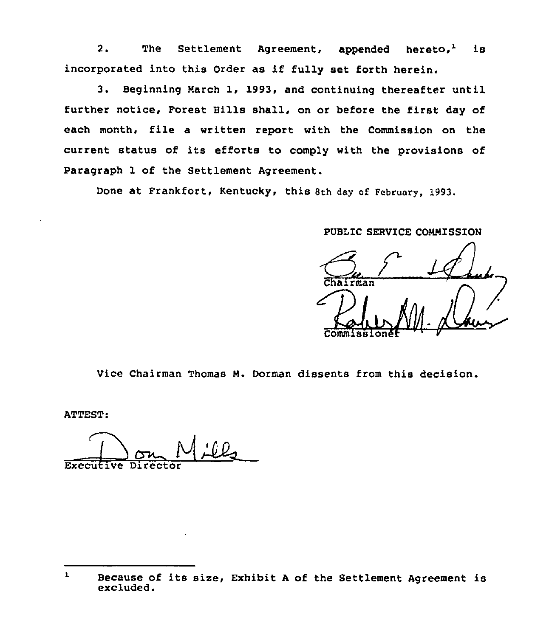2. The Settlement Agreement, appended hereto, is incorporated into this Order as if fully set forth herein.

3. Beginning March 1, 1993, and continuing thereafter until further notice, Forest Hills shall, on or before the first day of each month, file a written report with the Commission on the current status of its efforts to comply with the provisions of Paragraph 1 of the Settlement Agreement.

Done at Frankfort, Kentucky, this 8th day of February, 1993.

# PUBLIC SERVICE COMMISSION

Commissione nairman<br>Reddy M1

Vice Chairman Thomas N. Dorman dissents from this decision.

ATTEST:

Executive Director

 $\mathbf{r}$ Because of its size, Exhibit <sup>A</sup> of the Settlement Agreement is excluded.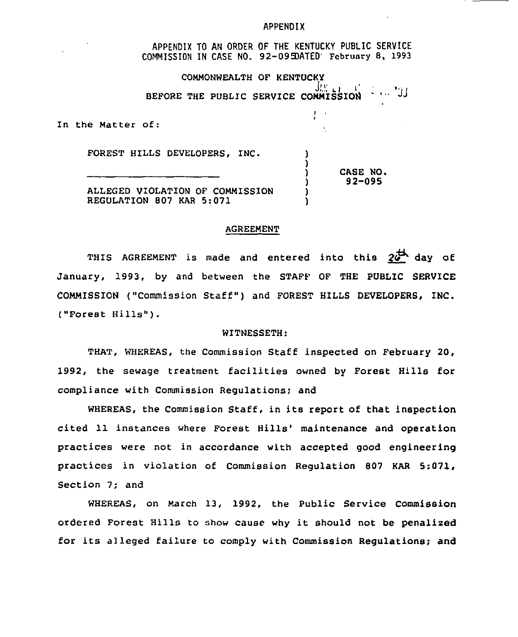#### APPENDIX

APPENDIX TO AN ORDER OF THE KENTUCKY PUBLIC SERVICE COMMISSION IN CASE NO. 92-09 DATED: February 8, 1993

COMMONWEALTH OF KENTUCKV  $J_{\ell}$ r (f  $\ell$  )  $\ell$  ) BEFORE THE PUBLIC SERVICE COMMISSION

> ) )

> ) )

In the Matter of:

FOREST HILLS DEVELOPERS,

) CASE NO ) 92-095

ALLEGED VIOLATION OF COMMISSION REGULATION 807 KAR 5:071

### AGREEMENT

THIS AGREEMENT is made and entered into this  $2\overline{a}$  day of January, 1993, by and between the STAFF OF THE PUBLIC SERVICE COMMISSION ("Commission Staff" ) and FOREST HILLS DEVELOPERS, INC. ("Forest Hills" ).

### WITNESSETH:

THAT, WHEREAS, the Commission Staff inspected on February 20, 1992, the sewage treatment facilities owned by Forest Hills for compliance with Commission Regulations; and

WHEREAS, the Commission Staff, in its report of that inspection cited 11 instances where Forest Hills' maintenance and operation practices were not in accordance with accepted good engineering practices in violation of Commission Regulation 807 KAR 5:071, Section 7; and

WHEREAS, on March 13, 1992, the Public Service Commission ordered Forest Hills to show cause why it should not be penalised for its alleged failure to comply with Commission Regulations; and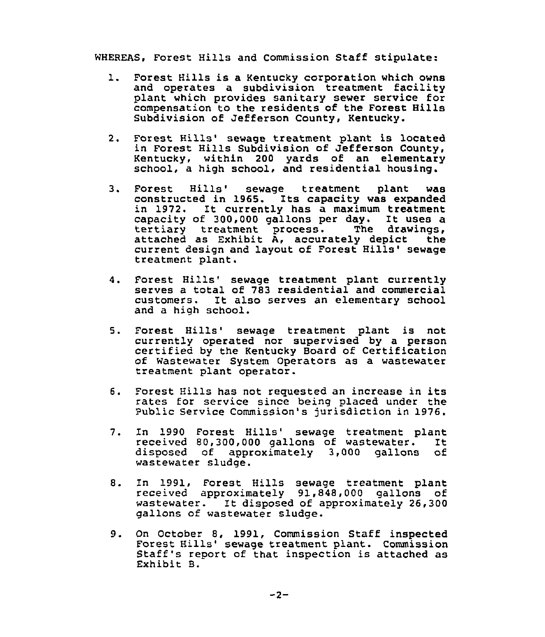WHEREAS, Forest Hills and Commission Staff stipulate:

- $\mathbf{1}$ . Forest Hills is a Kentucky corporation which owns and operates a subdivision treatment facility plant which provides sanitary sewer service for compensation to the residents of the Forest Hills Subdivision of Jefferson County, Kentucky.
- Forest Hills' sewage treatment plant is located  $\mathbf{2}$ . in Forest Hills Subdivision of Jefferson County, Kentucky, within 200 yards of an elementary school, a high school, and residential housing.
- Forest Hills' sewage treatment plant was 3. constructed in 1965. Its capacity was expanded in 1972. It currently has a maximum treatment capacity of 300,000 gallons per day. It uses a tertiary treatment process. The drawings, attached as Exhibit A, accurately depict the current design and layout of Forest Hills' sewage treatment plant.
- 4. Forest Hills' sewage treatment plant currently serves a total of 783 residential and commercial customers. It also serves an elementary school and a high school.
- 5. Forest Hills' sewage treatment plant is not currently operated nor supervised by <sup>a</sup> person certified by the Kentucky Board of Certification of Wastewater System Operators as a wastewater treatment plant operator.
- б. Forest Hills has not requested an increase in its rates for service since being placed under the Public Service Commission's jurisdiction in 1976.
- 7. In 1990 Forest Hills'ewage treatment plant received 80,300,000 gallons of wastewater. It disposed of approximately 3,000 gallons of wastewater sludge.
- In 1991, Forest Hills sewage treatment plant 8. received approximately 91,848,000 gallons of wastewater. It disposed of approximately 26,300 gallons of wastewater sludge.
- 9. On October 8, 1991, Commission Staff inspected Forest Hills' sewage treatment plant. Commission<br>Staff's report of that inspection is attached as Exhibit B.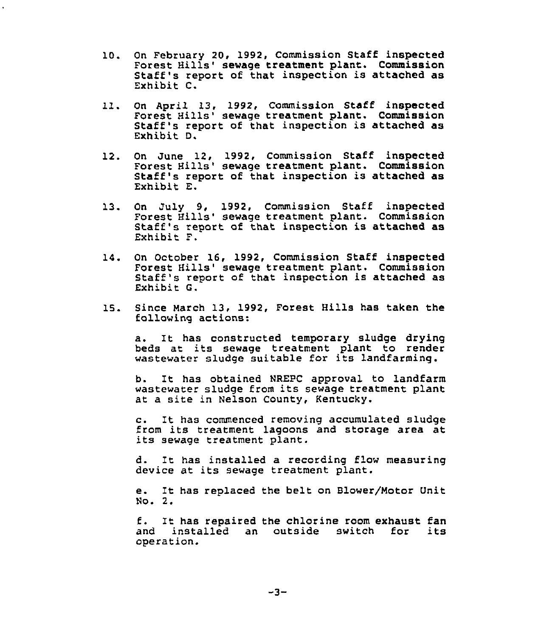- 10. On February 20, 1992, Commission Staff inspected Forest Hills' sewage treatment plant. Commission<br>Staff's report of that inspection is attached as Exhibit C.
- 11. On April 13, 1992, Commission Staff inspected Forest Hills' sewage treatment plant. Commission<br>Staff's report of that inspection is attached as Exhibit O.
- 12. On June 12, 1992, Commission Staff inspecte Forest Hills'ewage treatment plant. Commission Staff's report of that inspection is attached as Staff's report of that inspection is attached as<br>Exhibit E.
- 13. On July 9, 1992, Commission Staff inspecte Forest Hills' sewage treatment plant. Commission<br>Staff's report of that inspection is attached as Staff's report of that inspection is attached as<br>Exhibit F.
- 14. On October 16, 1992, Commission Staff inspected Forest Hills' sewage treatment plant. Commission<br>Staff's report of that inspection is attached as Exhibit G.
- 15. Since March 13, 1992, Forest Hills has taken the following actions:

a. It has constructed temporary sludge drying beds at its sewage treatment plant to render wastewater sludge suitable for its landfarming.

b. It has obtained NREPC approval to landfarm wastewater sludge from its sewage treatment plant at a site in Nelson County, Kentucky.

c. It has commenced removing accumulated sludge from its treatment lagoons and storage area at its sewage treatment plant.

d. It has installed a recording flow measuring device at its sewage treatment plant.

e. It has replaced the belt on Blower/Motor Unit No. 2.

It has repaired the chlorine room exhaust fan f. It has repaired the chlorine room exhaust fan<br>and installed an outside switch for its operation.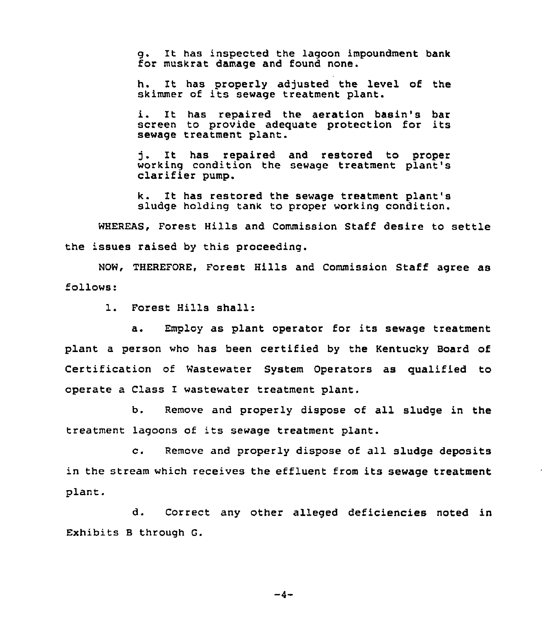g. It has inspected the lagoon impoundment bank for muskrat damage and found none.

h. It has properly adjusted the level of the n: It has properly adjusted the less in the sewage treatment plant.

i. It has repaired the aeration basin's bar screen to provide adequate protection for its sewage treatment plant.

j. It has repaired and restored to proper working condition the sewage treatment plant's clarifier pump.

k. It has restored the sewage treatment plant's sludge holding tank to proper working condition.

WHEREAS, Forest Hills and Commission Staff desire to settle the issues raised by this proceeding.

NOW, THEREFORE, Forest Hills and Commission Staff agree as follows:

1. Forest Hills shall:

a. Employ as plant operator for its sewage treatment plant a person who has been certified by the Kentucky Board of Certification of Wastewater System Operators as qualified to operate a Class I wastewater treatment plant.

b. Remove and properly dispose of all sludge in the treatment lagoons of its sewage treatment plant.

c. Remove and properly dispose of all sludge deposits in the stream which receives the effluent from its sewage treatment plant.

d. Correct any other alleged deficiencies noted in Exhibits B through Q.

$$
-4-
$$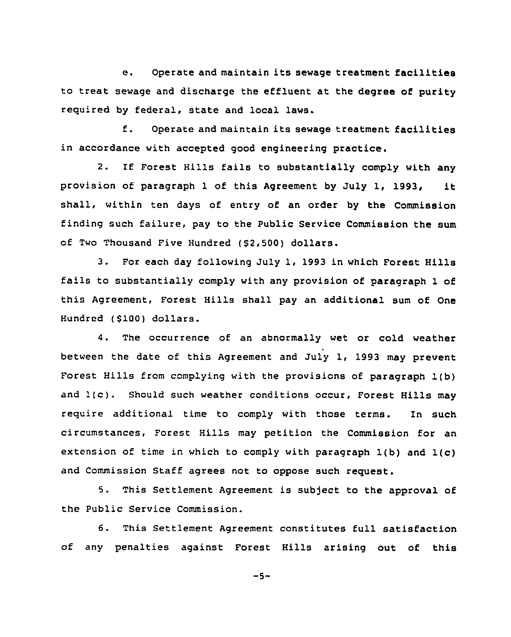e. Operate and maintain its sewage treatment facilities to treat sewage and discharge the effluent at the degree of purity required by federal, state and local laws.

f. Operate and maintain its sewage treatment facilities in accordance with accepted good engineering practice.

2. If Forest Hills fails to substantially comply with any provision of paragraph <sup>1</sup> of this Agreement by July 1, 1993, it shall, within ten days of entry of an order by the Commission finding such failure, pay to the Public Service Commission the sum of Two Thousand Five Hundred (\$2,500) dollars.

3. For each day following July 1, 1993 in which Forest Hills fails to substantially comply with any provision of paragraph 1 of this Agreement, Forest Hills shall pay an additional sum of One Hundred (\$100) dollars.

4. The occurrence of an abnormally wet or cold weather between the date of this Agreement and July 1, 1993 may prevent Forest Hills from complying with the provisions of paragraph 1(b) and  $l(c)$ . Should such weather conditions occur, Forest Hills may require additional time to comply with those terms. In such circumstances, Forest Hills may petition the Commission for an extension of time in which to comply with paragraph 1(b) and 1(c) and Commission Staff agrees not to oppose such request.

5. This Settlement Agreement is subject to the approval of the Public Service Commission.

6. This Settlement Agreement constitutes full satisfaction of any penalties against Forest Hills arising out of this

 $-5-$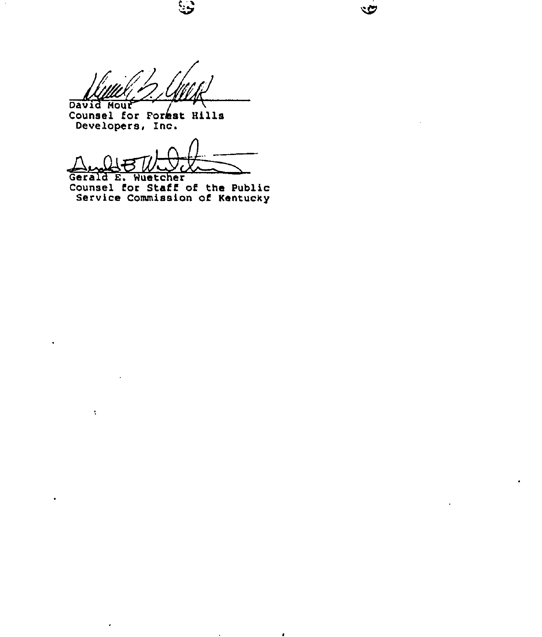David Mour

್ರ

 $\mathbf{v}$ 

Counsel for Forest Hills Developers, Inc.

 $\ddot{\cdot}$ 

 $\cdot$ 

 $\bullet$ 

 $\ddot{\phantom{0}}$ 

Amber Wald

Counsel for Staff of the Public Service Commission of Kentuck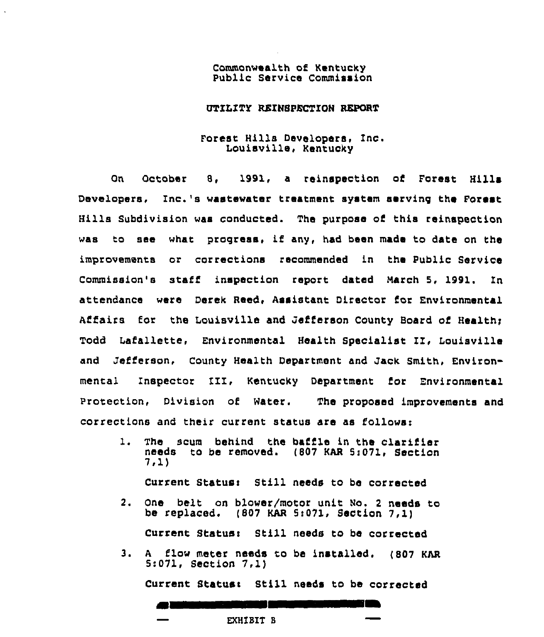## UTILITY REINSPECTION REPORT

# Forest Hills Developers, Inc. Louisville, Kentucky

On October 8, 1991, a reinspection of Forest Hills Developers, Inc.'s wastewater treatment system serving the Forest Hills Subdivision was conducted. The purpose o5 this reinspection was to see what progress, if any, had been made to date on the improvements or corrections recommended in the Public Service Commission's staff inspection report dated March 5, 1991, In attendance were Derek Reed, Assistant Director for Environmental Affairs for the Louisville and Jefferson County Board of Healthy Todd Lafallette, Environmental Health Specialist II, Louisville and Jefferson, County Health Department and Jack Smith, Environmental Inspector III, Kentucky Department for Environmental Protection, Division of Water. The proposed improvements and corrections and their current status are as follows:

1. The scum behind the baffle in the clarifier needs to be removed. (807 KAR 5:071, Section 7,1)

Current Status: Still needs to be corrected

- 2. One belt on blower/motor unit No. 2 needs to be replaced.  $(807 \text{ KAR } 5:071, \text{ Section } 7.1)$ Current Status: Still needs to be corrected
- 3. <sup>A</sup> flow meter needs to be installed. (807 KAR 5:071, Section 7il)

Current Status: Still needs to be corrected

EXHIBIT B

**A**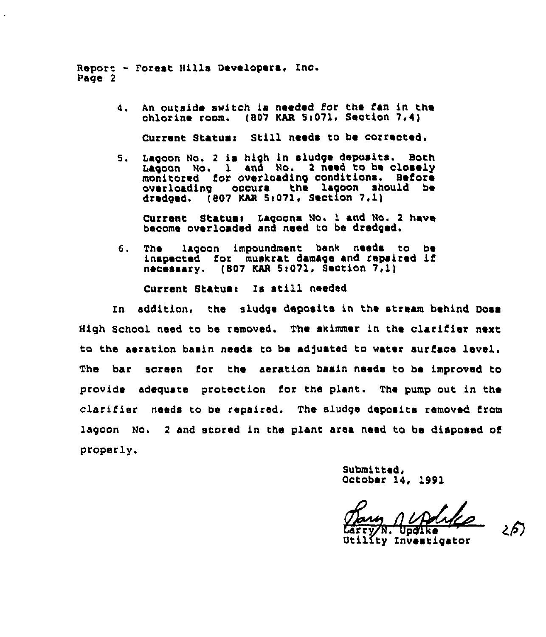Report - Forest Hills Developers. Inc. Page 2

> 4. An outside switch ia needed for the fan in the chlorine room.  $(807 \text{ KAR } 5:071, \text{ Section } 7.4)$

Current Statusr Still needs to be corrected.

5. Lagoon No. <sup>2</sup> is high in sludge deposits. Both Laqoon No. 1 and No. <sup>2</sup> need to be closely monitored for overloading conditions. Before<br>overloading occurs the lagoon should be occurs the lagoon should be dredged.  $(807 \text{ KAR } 5:071.$  Section  $7.11$ 

Current Statusr Lagoons No. 1 and No. 2 have become overloaded and need to be dredged.

6. Ths lagoon impoundment bank needs to be inspected for muskrat damage and repaired if necessary. (807 KAR 5:071, Section 7,1)

Current Status: Is still needed

In addition, the sludge deposits in the stream behind Doss High School need to be removed. The skimmer in the clarifier next to the aeration basin needs to be adjusted to water surface level. The bar screen for the aeration basin needs to be improved to provide adequate protection for the plant. The pump out in the clarifier needs to be repaired. The sludge deposits removed from lagoon No. 2 and stored in the plant area need to be disposed of properly.

> Submitted, October 14, 1991

Garry/N. Updike Larry/N. Updike (26)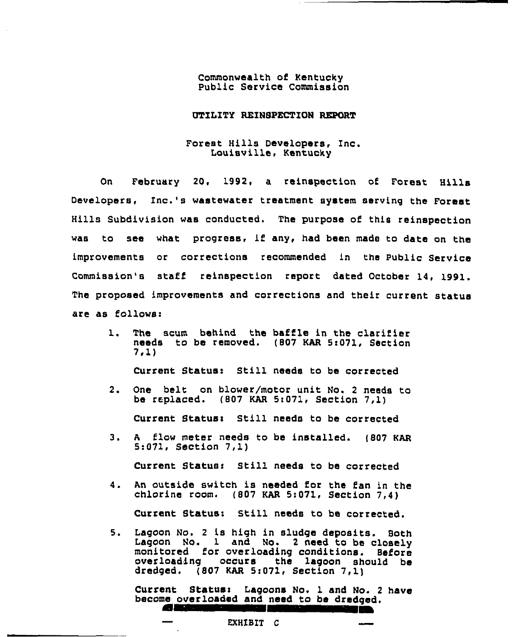## UTILITY REINSPECTION REPORT

# Forest Hills Developers, Inc. Louisville, Kentucky

On February 20, 1992, a reinspection of Forest Hills Developers, Inc.'s wastewater treatment system serving the Forest Hills Subdivision was conducted. The purpose of this reinspection was to see what progress, if any, had been made to date on the improvements or corrections recommended in the Public Service Commission's staff reinspection report dated October 14, 1991. The proposed improvements and corrections and their current status are as follows:

 $\mathbf{1}$ . The scum behind the baffle in the clarifier needs to be removed. (807 KAR 5:071, Section  $7,1)$ 

Current Status: Still needs to be corrected

 $2.$ One belt on blower/motor unit No. <sup>2</sup> needs to be replaced. (807 KAR 5:071, Section 7,1)

Current Status< Still needs to be corrected

 $3.$ <sup>A</sup> flow meter needs to bs installed. (807 KAR 5:071, Section 7, 1)

Current Statuss Still needs to be corrected

- An outside switch is needed for the fan in the chlorine room. (807 KAR 5:071, Section 7,4)  $4.$ Current Status: Still needs to be corrected.
- 5. Lagoon No. <sup>2</sup> is high in sludge deposits. Both Lagoon No. 1 and No. <sup>2</sup> need to be closely monitored for overloading conditions. Before overloading occurs the lagoon should be dredged. (807 KAR 5:071, Section 7, 1)

Current Status< Lagoons No. 1 and No. <sup>2</sup> have become overloaded and need to be dredged.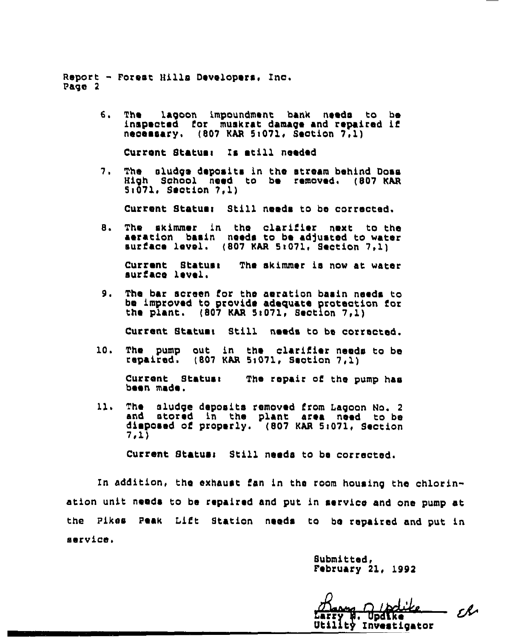Report - Forest Hills Developers, inc. Page 2

> 6. The lagoon impoundment bank needs to be inspected for muskrat damage and repaired if necessary. (807 KAR 5i071, Section 7, 1)

Current Statusi Is still needed

7. The sludge deposits in the stream behind Doss High School need to be removed. (807 KAR 5i071, Section 7,1)

Current Status: Still needs to be corrected.

8. The skimmer in the clarifier next to the aeration basin needs to be adjusted to water surface level.  $(807 \text{ KAR } 5:071, \text{Section } 7,1)$ 

Current Statusr The skimmer is now at water surface level.

9. The bar screen for the aeration basin needs to be improved to provide adequate protection for the plant.  $(807 \text{ KAR } 5:071, \text{ Section } 7,1)$ 

Current Statuar Still needs to be corrected.

10. The pump out in the clarifier needs to be repaired. (807 KAR 5:071, Section 7,1)

Current Statusi The repair of the pump has been made.

11. The sludge deposits removed from Lagoon No. 2<br>and stored in the plant area need to be atored in the plant area need to be disposed of properly. (807 KAR 5:071, Section 7gl)

Current Status: Still needs to be corrected.

In addition, the exhaust fan in the room housing the chlorination unit needs to be repaired and put in service and one pump at the Pikes Peak Lift Station needs to be repaired and put in service.

> Submitted, February 21, 1992

ipolike<br>dike A. n EР Larr'y Updlke ņ. Utility Investigato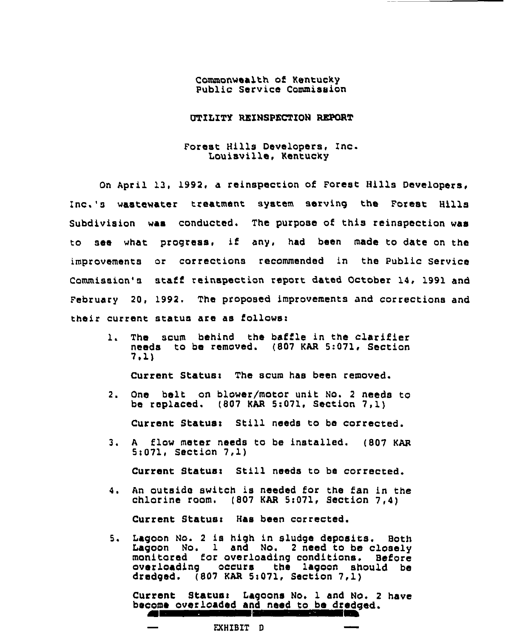### OTILITY REINSPECTION REPORT

# Forest Hills Developers, Inc. Louisville, Kentucky

On April 13, 1992, 4 reinspection of Forest Hills Oevelopers, Inc.'s wastewater treatment system serving the Forest Hills Subdivision was conducted. The purpose of this reinspection was to see what progress, if any, had been made to date on the improvements or corrections recommended in the Public Service Commission's staff reinspection report dated October 14, 1991 and February 20, 1992. The proposed improvements and corrections and their current status are as follows:

1. The scum behind the baffle in the clarifier needs to be removed. (807 KAR 5:071, Section 7.1)

Current Status: The scum has been removed.

2. One belt on blower/motor unit No. <sup>2</sup> needs to be replaced. (807 KAR 5:071, Section 7,1)

Current Status: Still needs to be corrected.

3. <sup>A</sup> flow meter needs to be installed. (807 KAR 5<07l, Section 7,1)

Current Status: Still needs to be corrected.

4. An outside switch is needed for ths fan in the chlorine room. ( 807 KAR 5:071, Section 7, <sup>4</sup> )

Current Status: Has been corrected.

5. Lagoon No. <sup>2</sup> is high in sludge deposits. Both Lagoon No. 1 and No. 2 need to be closely monitored for overloading conditions. Before monitored for overloading conditions. overloading occurs the lagoon should be dredged. (807 KAR Si071, Section 7, 1)

Current Status: Lagoons No. 1 and No. 2 have become overloaded and need to be dredged.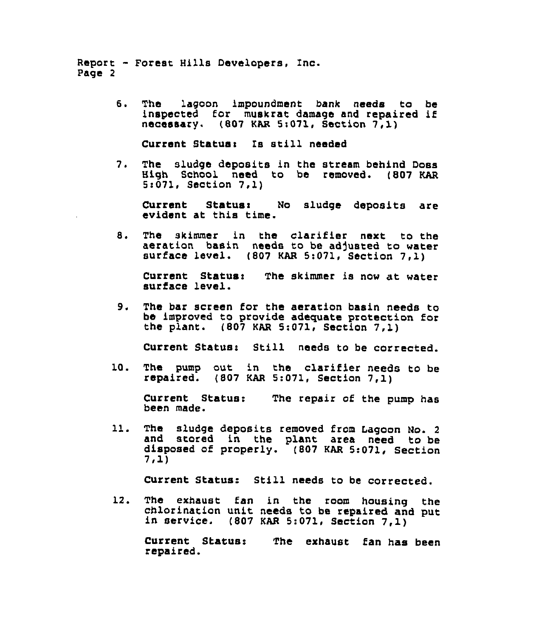Report - Forest Hills Developers, Inc. Page 2

> б. The lagoon impoundment bank needs to be inspected for muskrat damage and repaired if necessary. (807 KAR 5:071, Section 7,1)

Current Statues Is still needed

 $7.$ The sludge deposits in the stream behind Doss High School need to be removed. (807 KAR 5:071, Section 7,1)

Current Status: No sludge deposits are evident at this time.

The skimmer in the clarifier next to the aeration basin needs to be adjusted to water surface level. (807 KAR 5:071, Section 7,1) 8.

Current Status: The skimmer is now at water surface level.

9. The bar screen for the aeration basin needs to be improved to provide adequate protection for the plant. (S07 KAR 5:071, Section 7,l.)

Current Status: Still needs to be corrected.

10. The pump out in the clarifier needs to be repaired. (807 KAR 5:071, Section 7,1)

Current Status: The repair of the pump has been made.

The sludge deposits removed from Lagoon No. 2<br>and stored in the plant area need to be  $11.$ stored in the plant area need to be disposed of properly. (807 KAR 5:071, Section 7,1)

Current Status: Still needs to be corrected.

12. The exhaust far chlorination unit in service. (807 KAR 5:071, Section 7,1) in the room housing the needs to be repaired and put

Current Status: The exhaust fan has been repaired.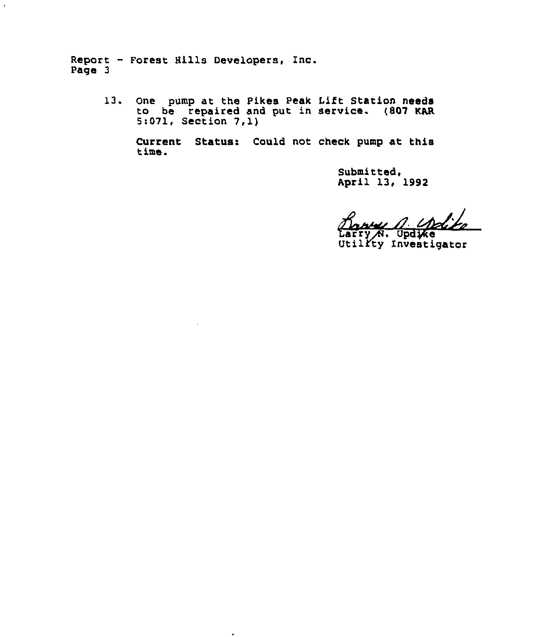Report — Forest Hills Developers, Inc. Page 3

> 13. One pump at the Pikes Peak Lift Station needs to be repaired and put in service. (807 KAR<br>5:071, Section 7,1)

> > $\epsilon$

Current Status: Could not check pump at this time.

> Submitted, April 13, 1992

A. Updike

Larry N. Updike<br>Utility Investigator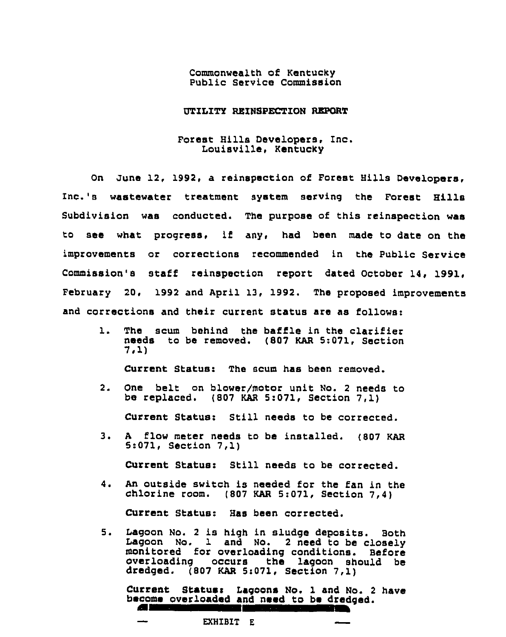UTILITY REINSPECTION REPORT

Forest Hills Developers, Inc. Louisville, Kentucky

On June 12, 1992, a reinspection of Forest Hills Developers, Inc.'s wastewater treatment system serving the Forest Hills Subdivision was conducted. The purpose of this reinspection was to see what progress, if any, had been made to date on the improvements or corrections recommended in the Public Service Commission's staff reinspection report dated October 14, 1991, February 20, 1992 and April 13, 1992. The proposed improvements and corrections and their current status are as follows:

1. The scum behind the baffle in the clarifier needs to be removed. (807 KAR 5:071, Section<br>7,1)

Current Status: The scum has been removed.

2. One belt on blower/motor unit No. <sup>2</sup> needs to be replaced. (807 KAR 5:071, Section 7,1)

Current Status: Still needs to be corrected.

3. <sup>A</sup> flow meter needs to be installed. (807 KAR 5:071, Section 7, 1)

Current Status: Still needs to be corrected.

4. An outside switch is needed for the fan in the chlorine room. (807 KAR 5:071, Section 7,4) Current Status: Has been corrected.

5. Lagoon No. <sup>2</sup> is high in sludge deposits. Both Lagoon No. 1 and No. <sup>2</sup> need to be closely monitored for overloading conditions. Before overloading occurs the lagoon should be dredged.  $(807 \text{ KAR } 5:071, \text{ Section } 7.1)$ 

Current Statues Lagoons No. 1 and No. <sup>2</sup> have become overloaded and need to be dredged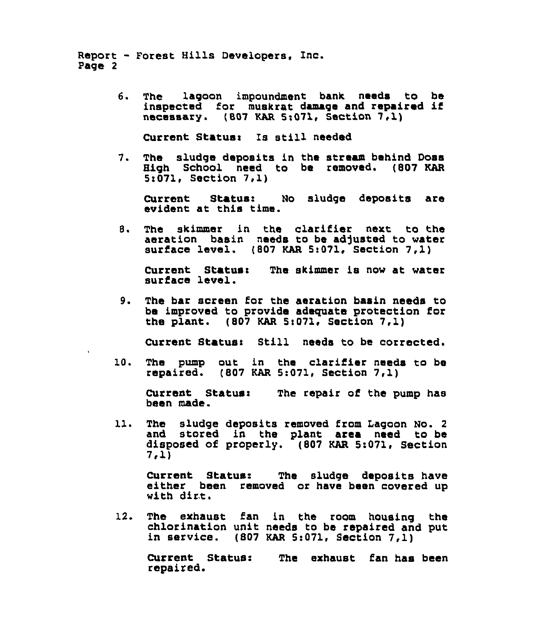Report — Forest Hills Developers, Inc. Page 2

> The lagoon impoundment bank needs to be 6. inspected for muskrat damage and repaired if  $n$ ecessary. (807 KAR 5:071, Section 7,1)

Current Status: Is still needed

 $7.$ The sludge deposits in the stream behind Doss High School need to be removed. (807 KAR Sz071, Section 7,1)

Current Status: No sludge deposits are evident at this time.

The skimmer in the clarifier next to the  $8.$ aeration basin needs to be adjusted to water surface level. (807 KAR 5:071, Section 7,1)

Current Status: The skimmer is now at water surface level.

9. The bar screen for the aeration basin needs to be improved to provide adequate protection for the plant.  $(807 \text{ KAR } 5:071, \text{ Section } 7,1)$ 

Current Status: Still needs to be corrected.

10. The pump out in the clarifier needs to be repaired. (807 KAR 5:071, Section 7,1)

Current Status: The repair of the pump has been made.

 $11.$ The sludge deposits removed from Lagoon No. 2<br>and stored in the plant area need to be stored in the plant area need to be disposed of properly. (807 KAR 5z071, Section 7zl)

Current Status: The sludge deposits have either been removed or have been covered up with dirt.

12. The exhaust fan in the room housing the chlorination unit needs to be repaired and put in service. (807 KAR 5:071, Section 7,1)

Current Statusz The exhaust fan has been repaired.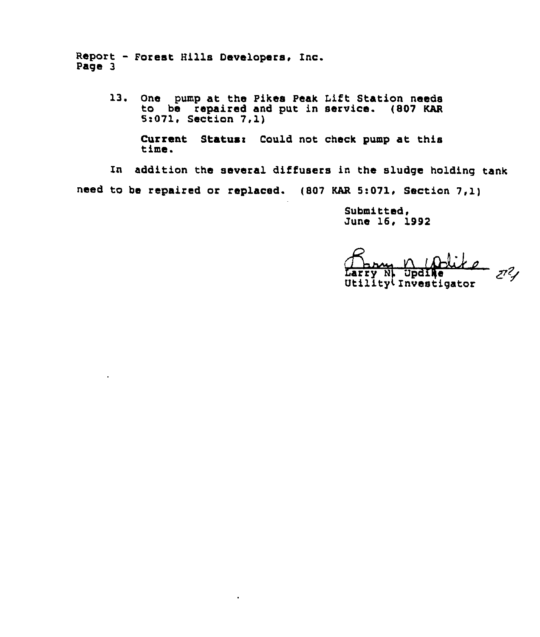Report — Eorest Hills Developers< Inc. Page 3

> 13. One pump at the Pikes Peak Lift Station needs to be repaired and put in service. (807 KAR 5~071, Section 7,1)

Current Statusr Could not check pump at this time.

In addition the several diffusers in the sludge holding tank need to be repaired or replaced. (807 KAR 5:071, Section 7,1)

> Submitted, June 16, 1992

 $\sigma$  $\pi^2$ Larry N) Updige Utility<sup>t</sup> Investigator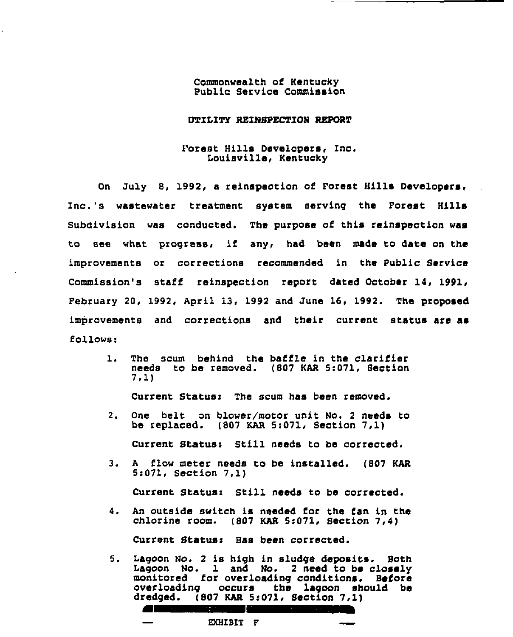### UTILITY REINSPECTION REPORT

# Forest Hills Developers, Inc. Louisville, Kentucky

On July 8, 1992, a reinspection of Forest Hills Developers, Inc.'s wastewater treatment system serving the Forest Hills Subdivision was conducted. The purpose of this reinspection was to see what progress, if any, had been made to date on the improvements or corrections recommended in the Public Service Commission's staff reinspection report dated October 14, 1991, February 20, 1992, April 13, 1992 and June 16, 1992. The proposed improvements and corrections and their current status are as follows:

The scum behind the baffle in the clarifier  $\mathbf{1}$ . needs to be removed. {S07 KAR 5:071, Section  $7.1$ 

Current Statues The scum has been removed.

- $2.$ One belt on blower/motor unit No. <sup>2</sup> needs to be replaced. (007 KAR 5:071< Section 7,1) Current Statues Still needs to be corrected.
- $3.$ <sup>A</sup> flow meter needs to be installed. (807 KAR 5:071, Section 7,1)

Current Status: Still needs to be corrected.

- An outside switch is needed for the fan in the 4. chlorine room. {807 KAR 5:071, Section 7,4) Current Statues Has been corrected.
- $5.$ Lagoon No. <sup>2</sup> is high in sludge deposirs. Both Lagoon No. 1 and No. <sup>2</sup> need to be closely monitored for overloading conditions. Before<br>overloading occurs the lagoon should be the lagoon should be dredged.  $(807$  KAR 5:071, Section 7,1)

| EXHIBIT |  |
|---------|--|
|---------|--|

and the property of the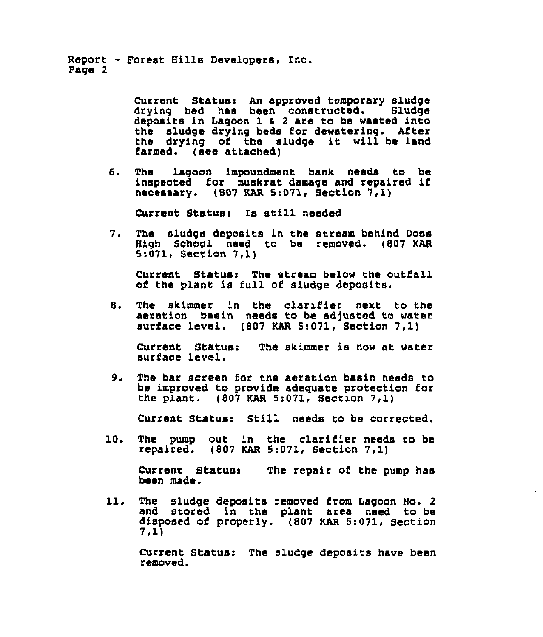Report - Forest Hills Developers, Inc. Page 2

> the drying of the<br>farmed. (see attached Current Status: An approved temporary sludge<br>drving bed has been constructed. Sludge drying bed has been constructed. deposits in Lagoon 1  $6$  2 are to be wasted into the sludge drying beds for dewatering. After the drying of the sludge it will be land

The lagoon impoundment bank needs to be 6. inspected for muskrat damage and repaired if  $n$ ecessary. (807 KAR 5:071, Section 7,1)

Current Status: Is still needed

The sludge deposits in the stream behind Doss 7. High School need to be removed, (807 KAR 5:071, Section 7,1)

Current Statues The stream below the outfall of the plant is full of sludge deposits.

8. The skimmer in the clarifier next to the aeration basin needs to be adjusted to water surface level. (807 KAR 5:071, Section 7,1)

Current Status: The skimmer is now at water surface level.

 $9.$ The bar screen for the aeration basin needs to be improved to provide adequate protection for the plant. (807 KAR 5:071, Section 7,1)

Current Status: Still needs to be corrected.

10 The pump out in the clarifier needs to be repaired. (807 KAR 5:071, Section 7,1)

Current Status: The repair of the pump has been made.

11. The sludge deposits removed from Lagoon No. <sup>2</sup> and stored in the plant area need to be disposed of properly. (807 KAR 5:071, Section 7gl)

Current Status: The sludge deposits have been removed.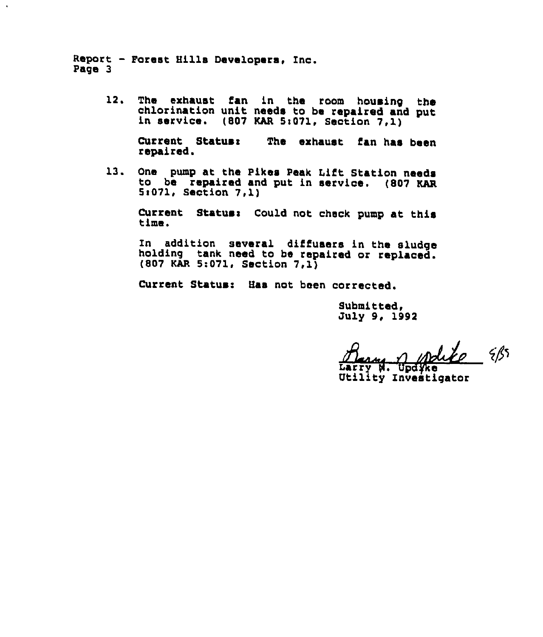Report —Forest Hills Developers, Inc. Page 3

 $\mathbf{r}$ 

12. The exhaust fan in the room housing the chlorination unit needs to be repaired and put in service. (807 KAR 5:071, Section 7,1)

Current Status: The exhaust fan has been<br>repaired.

13. One pump at the Pikes Peak Lift Station needs to be repaired and put in service. (807 KAR 5:071, Section 7,1)

Current Statues Could not check pump at this time.

In addition several diffusers in the sludge holding tank need to be repaired or replaced. (807 KAR Si071, Section 7,1)

Current Status: Has not been corrected.

Submitted, July 9, 1992

 $\frac{1}{2}$   $\frac{2}{5}$ 

Larry M. Updyke Utility Investigator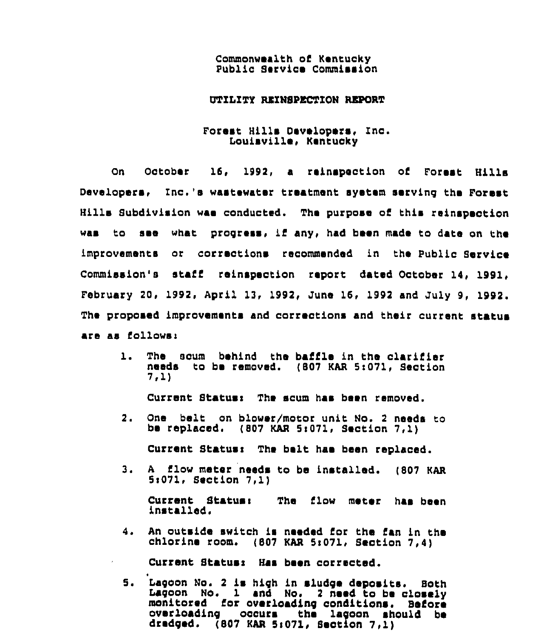### OTILZTY REINSPECTION REPORT

# Forest Hills Developers, Inc. Louisville, Kentucky

Qn October 16, 1992, a reinspection of Forest Hills Develapsrs, Inc.'s wastewater treatment system serving ths Forest Hills Subdivision was conducted. The purpose of this reinspection was to see what progress, if any, had been made to date on the improvements ar corrections recommended in the Public Service Commission's staff reinspection report dated October 14, 1991, February 20, 1992, April 13, 1992, June 16, 1992 and July 9, 1992. The proposed improvements and correotlons and their current status are as followsi

1. The scum behind the baffle in the clarifier needs to be removed. (  $807$  KAR  $5:071$ , Section  $7,1$ )

Current Statues The scum has been removed.

- 2. One belt on blower/motor unit No. <sup>2</sup> needs ta be replaced. (807 KAR 5:071, Section  $7,1$ ) Currant Statues The belt has been replaced.
- 3. <sup>A</sup> flow meter needs to bs installed. (807 KAR 5,071, Section 7,1)

Current Statusi The flow meter has been installed.

4. An outside switch is needed for the fan in the chlorine room. (807 KAR 5:071, Seotion 7,4)

Current Statues Has been corrected.

5. Lagoon No. 2 is high in sludge deposits. Both<br>Lagoon No. 1 and No. 2 need to be closely monitored for overloading conditions. Before<br>overloading occurs the lagoon should be the lagoon should be dredged.  $(807 \text{ KAR } 5:071, \text{ Section } 7,1)$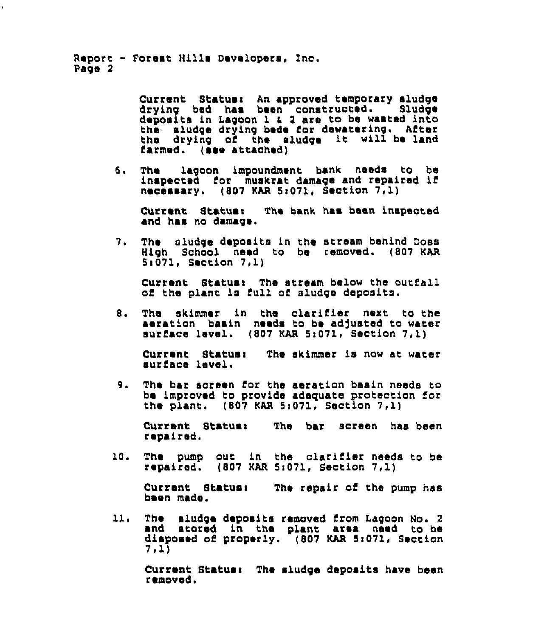Reporr. - Forest Hills Developers, Inc. Page 2

> Current Status: An approved temporary sludge<br>drying bed has been constructed. Sludge drying bed has been constructed. deposits in Lagoon 1 <sup>a</sup> <sup>2</sup> ars to be wasted into the sludge drying bede for dewatsring. After the drying of the sludge it will be land farmed. (see attached)

 $6.$ The lagoon impoundment bank needs to be inspected for muskrat damage and repaired if necessary, (807 KAR 5:071, Section 7,1)

Current Statusr The bank has been inspected and has no damage.

7. The sludge deposits in the stream behind Doss High School need to be removed. (807 KAR 5i071, Section 7,1)

Current Statues The stream below the outfall of the plant is full of sludge deposits.

 $8 \cdot$ The akimmer in the clarifier next to the aeration basin needs to be adjusted to water surface level. (807 KAR 5:071, Section 7.1)

Current Statues The skimmer is now at water surface level.

9. The bar screen for the aeration basin needs to be improved to provide adequate protection for the plant.  $(807 \text{ KAR } 5:071.$  Section  $7.1)$ 

Current Status: The bar screen has been<br>repaired.

The pump out in the clarifier needs to be 10. repaired. (807 KAR Si071, Section 7, 1)

Current Statusi The repair of the pump has been made.

 $11.$ The sludge deposits removed from Lagoon No. 2<br>and stored in the plant area need to be atored in the plant area need to be disposed of properly. [(807 KAR 5:071, Section 7,1)

Current Statusi The sludge deposits have been removed.